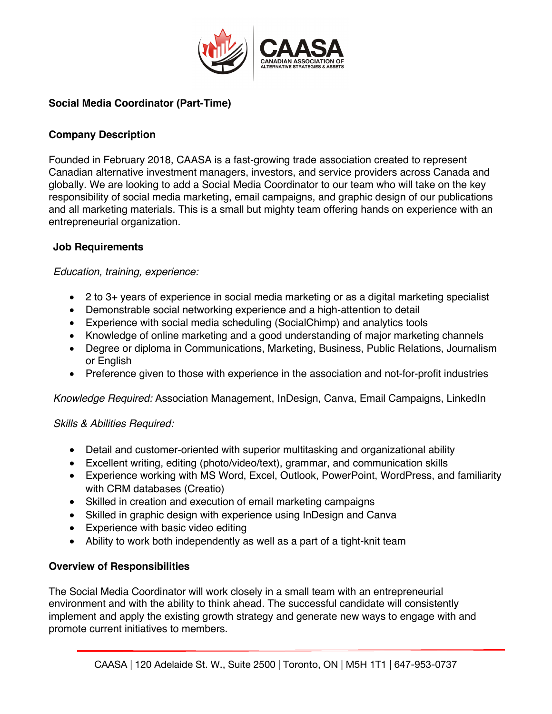

# **Social Media Coordinator (Part-Time)**

### **Company Description**

Founded in February 2018, CAASA is a fast-growing trade association created to represent Canadian alternative investment managers, investors, and service providers across Canada and globally. We are looking to add a Social Media Coordinator to our team who will take on the key responsibility of social media marketing, email campaigns, and graphic design of our publications and all marketing materials. This is a small but mighty team offering hands on experience with an entrepreneurial organization.

### **Job Requirements**

#### *Education, training, experience:*

- 2 to 3+ years of experience in social media marketing or as a digital marketing specialist
- Demonstrable social networking experience and a high-attention to detail
- Experience with social media scheduling (SocialChimp) and analytics tools
- Knowledge of online marketing and a good understanding of major marketing channels
- Degree or diploma in Communications, Marketing, Business, Public Relations, Journalism or English
- Preference given to those with experience in the association and not-for-profit industries

*Knowledge Required:* Association Management, InDesign, Canva, Email Campaigns, LinkedIn

#### *Skills & Abilities Required:*

- Detail and customer-oriented with superior multitasking and organizational ability
- Excellent writing, editing (photo/video/text), grammar, and communication skills
- Experience working with MS Word, Excel, Outlook, PowerPoint, WordPress, and familiarity with CRM databases (Creatio)
- Skilled in creation and execution of email marketing campaigns
- Skilled in graphic design with experience using InDesign and Canva
- Experience with basic video editing
- Ability to work both independently as well as a part of a tight-knit team

#### **Overview of Responsibilities**

The Social Media Coordinator will work closely in a small team with an entrepreneurial environment and with the ability to think ahead. The successful candidate will consistently implement and apply the existing growth strategy and generate new ways to engage with and promote current initiatives to members.